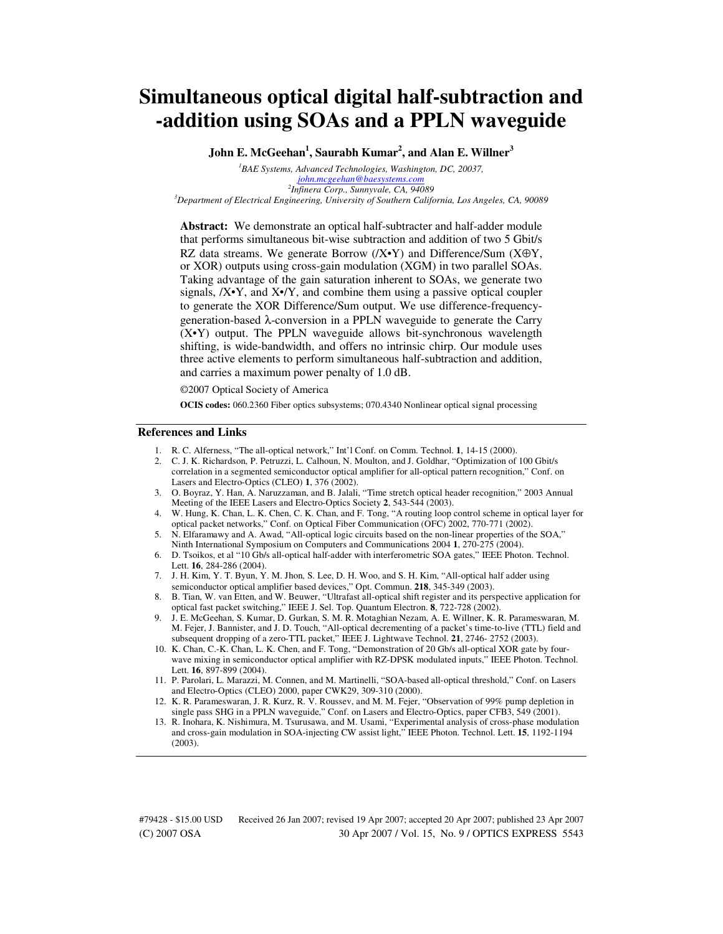# **Simultaneous optical digital half-subtraction and -addition using SOAs and a PPLN waveguide**

**John E. McGeehan<sup>1</sup> , Saurabh Kumar<sup>2</sup> , and Alan E. Willner<sup>3</sup>**

*BAE Systems, Advanced Technologies, Washington, DC, 20037, john.mcgeehan@baesystems.com Infinera Corp., Sunnyvale, CA, 94089 Department of Electrical Engineering, University of Southern California, Los Angeles, CA, 90089* 

**Abstract:** We demonstrate an optical half-subtracter and half-adder module that performs simultaneous bit-wise subtraction and addition of two 5 Gbit/s RZ data streams. We generate Borrow ( $/X \cdot Y$ ) and Difference/Sum ( $X \oplus Y$ , or XOR) outputs using cross-gain modulation (XGM) in two parallel SOAs. Taking advantage of the gain saturation inherent to SOAs, we generate two signals,  $/X \cdot Y$ , and  $X \cdot Y$ , and combine them using a passive optical coupler to generate the XOR Difference/Sum output. We use difference-frequencygeneration-based λ-conversion in a PPLN waveguide to generate the Carry  $(X^{\bullet}Y)$  output. The PPLN waveguide allows bit-synchronous wavelength shifting, is wide-bandwidth, and offers no intrinsic chirp. Our module uses three active elements to perform simultaneous half-subtraction and addition, and carries a maximum power penalty of 1.0 dB.

©2007 Optical Society of America

**OCIS codes:** 060.2360 Fiber optics subsystems; 070.4340 Nonlinear optical signal processing

#### **References and Links**

- 1. R. C. Alferness, "The all-optical network," Int'l Conf. on Comm. Technol. **1**, 14-15 (2000).
- 2. C. J. K. Richardson, P. Petruzzi, L. Calhoun, N. Moulton, and J. Goldhar, "Optimization of 100 Gbit/s correlation in a segmented semiconductor optical amplifier for all-optical pattern recognition," Conf. on Lasers and Electro-Optics (CLEO) **1**, 376 (2002).
- 3. O. Boyraz, Y. Han, A. Naruzzaman, and B. Jalali, "Time stretch optical header recognition," 2003 Annual Meeting of the IEEE Lasers and Electro-Optics Society **2**, 543-544 (2003).
- 4. W. Hung, K. Chan, L. K. Chen, C. K. Chan, and F. Tong, "A routing loop control scheme in optical layer for optical packet networks," Conf. on Optical Fiber Communication (OFC) 2002, 770-771 (2002).
- 5. N. Elfaramawy and A. Awad, "All-optical logic circuits based on the non-linear properties of the SOA," Ninth International Symposium on Computers and Communications 2004 **1**, 270-275 (2004).
- 6. D. Tsoikos, et al "10 Gb/s all-optical half-adder with interferometric SOA gates," IEEE Photon. Technol. Lett. **16**, 284-286 (2004).
- 7. J. H. Kim, Y. T. Byun, Y. M. Jhon, S. Lee, D. H. Woo, and S. H. Kim, "All-optical half adder using semiconductor optical amplifier based devices," Opt. Commun. **218**, 345-349 (2003).
- 8. B. Tian, W. van Etten, and W. Beuwer, "Ultrafast all-optical shift register and its perspective application for optical fast packet switching," IEEE J. Sel. Top. Quantum Electron. **8**, 722-728 (2002).
- 9. J. E. McGeehan, S. Kumar, D. Gurkan, S. M. R. Motaghian Nezam, A. E. Willner, K. R. Parameswaran, M. M. Fejer, J. Bannister, and J. D. Touch, "All-optical decrementing of a packet's time-to-live (TTL) field and subsequent dropping of a zero-TTL packet," IEEE J. Lightwave Technol. **21**, 2746- 2752 (2003).
- 10. K. Chan, C.-K. Chan, L. K. Chen, and F. Tong, "Demonstration of 20 Gb/s all-optical XOR gate by fourwave mixing in semiconductor optical amplifier with RZ-DPSK modulated inputs," IEEE Photon. Technol. Lett. **16**, 897-899 (2004).
- 11. P. Parolari, L. Marazzi, M. Connen, and M. Martinelli, "SOA-based all-optical threshold," Conf. on Lasers and Electro-Optics (CLEO) 2000, paper CWK29, 309-310 (2000).
- 12. K. R. Parameswaran, J. R. Kurz, R. V. Roussev, and M. M. Fejer, "Observation of 99% pump depletion in single pass SHG in a PPLN waveguide," Conf. on Lasers and Electro-Optics, paper CFB3, 549 (2001).
- 13. R. Inohara, K. Nishimura, M. Tsurusawa, and M. Usami, "Experimental analysis of cross-phase modulation and cross-gain modulation in SOA-injecting CW assist light," IEEE Photon. Technol. Lett. **15**, 1192-1194 (2003).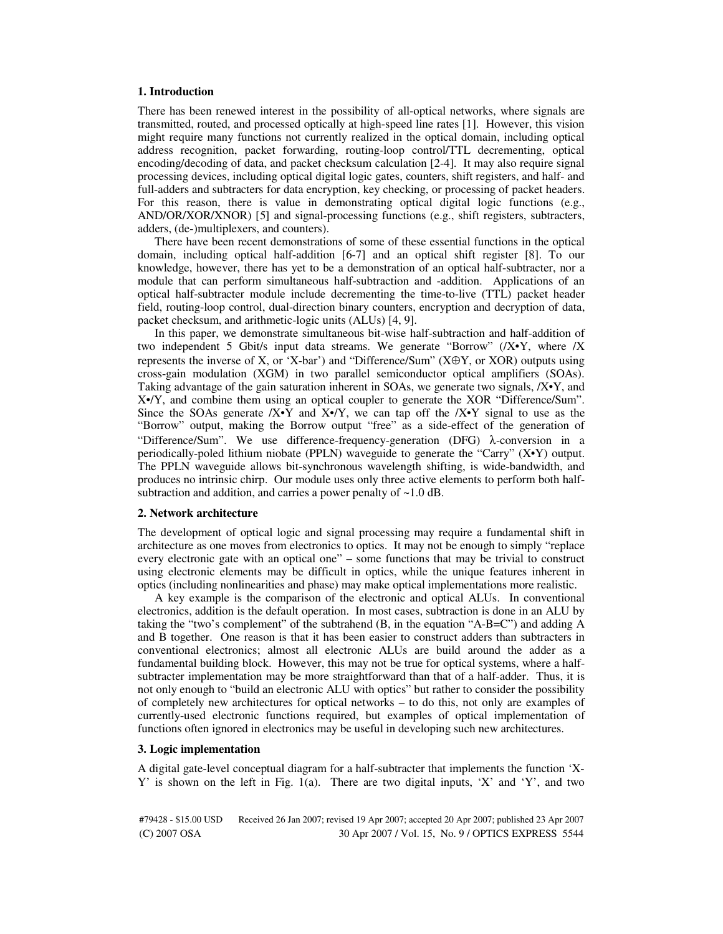# **1. Introduction**

There has been renewed interest in the possibility of all-optical networks, where signals are transmitted, routed, and processed optically at high-speed line rates [1]. However, this vision might require many functions not currently realized in the optical domain, including optical address recognition, packet forwarding, routing-loop control/TTL decrementing, optical encoding/decoding of data, and packet checksum calculation [2-4]. It may also require signal processing devices, including optical digital logic gates, counters, shift registers, and half- and full-adders and subtracters for data encryption, key checking, or processing of packet headers. For this reason, there is value in demonstrating optical digital logic functions (e.g., AND/OR/XOR/XNOR) [5] and signal-processing functions (e.g., shift registers, subtracters, adders, (de-)multiplexers, and counters).

There have been recent demonstrations of some of these essential functions in the optical domain, including optical half-addition [6-7] and an optical shift register [8]. To our knowledge, however, there has yet to be a demonstration of an optical half-subtracter, nor a module that can perform simultaneous half-subtraction and -addition. Applications of an optical half-subtracter module include decrementing the time-to-live (TTL) packet header field, routing-loop control, dual-direction binary counters, encryption and decryption of data, packet checksum, and arithmetic-logic units (ALUs) [4, 9].

In this paper, we demonstrate simultaneous bit-wise half-subtraction and half-addition of two independent 5 Gbit/s input data streams. We generate "Borrow" (/X•Y, where /X represents the inverse of X, or 'X-bar') and "Difference/Sum" (X⊕Y, or XOR) outputs using cross-gain modulation (XGM) in two parallel semiconductor optical amplifiers (SOAs). Taking advantage of the gain saturation inherent in SOAs, we generate two signals,  $/X^*Y$ , and X•/Y, and combine them using an optical coupler to generate the XOR "Difference/Sum". Since the SOAs generate  $/X\cdot Y$  and  $X\cdot Y$ , we can tap off the  $/X\cdot Y$  signal to use as the "Borrow" output, making the Borrow output "free" as a side-effect of the generation of "Difference/Sum". We use difference-frequency-generation (DFG) λ-conversion in a periodically-poled lithium niobate (PPLN) waveguide to generate the "Carry" (X•Y) output. The PPLN waveguide allows bit-synchronous wavelength shifting, is wide-bandwidth, and produces no intrinsic chirp. Our module uses only three active elements to perform both halfsubtraction and addition, and carries a power penalty of ~1.0 dB.

#### **2. Network architecture**

The development of optical logic and signal processing may require a fundamental shift in architecture as one moves from electronics to optics. It may not be enough to simply "replace every electronic gate with an optical one" – some functions that may be trivial to construct using electronic elements may be difficult in optics, while the unique features inherent in optics (including nonlinearities and phase) may make optical implementations more realistic.

A key example is the comparison of the electronic and optical ALUs. In conventional electronics, addition is the default operation. In most cases, subtraction is done in an ALU by taking the "two's complement" of the subtrahend  $(B, in the equation "A-B=C")$  and adding  $\overrightarrow{A}$ and B together. One reason is that it has been easier to construct adders than subtracters in conventional electronics; almost all electronic ALUs are build around the adder as a fundamental building block. However, this may not be true for optical systems, where a halfsubtracter implementation may be more straightforward than that of a half-adder. Thus, it is not only enough to "build an electronic ALU with optics" but rather to consider the possibility of completely new architectures for optical networks – to do this, not only are examples of currently-used electronic functions required, but examples of optical implementation of functions often ignored in electronics may be useful in developing such new architectures.

## **3. Logic implementation**

A digital gate-level conceptual diagram for a half-subtracter that implements the function 'X- $Y'$  is shown on the left in Fig. 1(a). There are two digital inputs, 'X' and 'Y', and two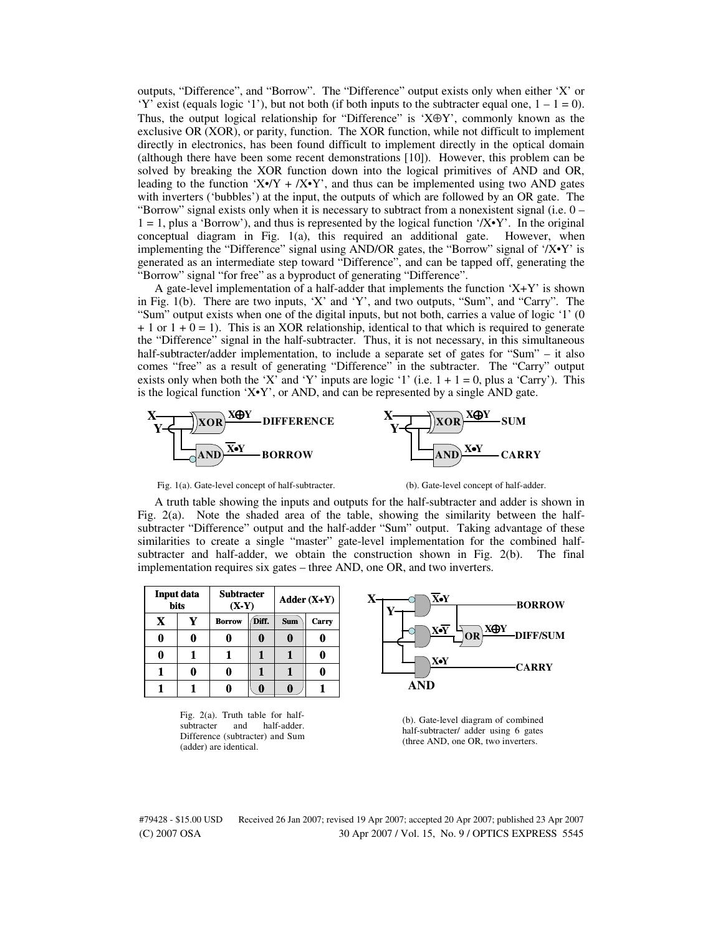outputs, "Difference", and "Borrow". The "Difference" output exists only when either 'X' or 'Y' exist (equals logic '1'), but not both (if both inputs to the subtracter equal one,  $1 - 1 = 0$ ). Thus, the output logical relationship for "Difference" is 'X⊕Y', commonly known as the exclusive OR (XOR), or parity, function. The XOR function, while not difficult to implement directly in electronics, has been found difficult to implement directly in the optical domain (although there have been some recent demonstrations [10]). However, this problem can be solved by breaking the XOR function down into the logical primitives of AND and OR, leading to the function ' $X \cdot Y + /X \cdot Y$ ', and thus can be implemented using two AND gates with inverters ('bubbles') at the input, the outputs of which are followed by an OR gate. The "Borrow" signal exists only when it is necessary to subtract from a nonexistent signal (i.e.  $0 1 = 1$ , plus a 'Borrow'), and thus is represented by the logical function '/X•Y'. In the original conceptual diagram in Fig. 1(a), this required an additional gate. However, when implementing the "Difference" signal using AND/OR gates, the "Borrow" signal of '/ $X \cdot Y'$  is generated as an intermediate step toward "Difference", and can be tapped off, generating the "Borrow" signal "for free" as a byproduct of generating "Difference".

A gate-level implementation of a half-adder that implements the function  $X+Y'$  is shown in Fig. 1(b). There are two inputs, 'X' and 'Y', and two outputs, "Sum", and "Carry". The "Sum" output exists when one of the digital inputs, but not both, carries a value of logic '1' (0  $+ 1$  or  $1 + 0 = 1$ ). This is an XOR relationship, identical to that which is required to generate the "Difference" signal in the half-subtracter. Thus, it is not necessary, in this simultaneous half-subtracter/adder implementation, to include a separate set of gates for "Sum" – it also comes "free" as a result of generating "Difference" in the subtracter. The "Carry" output exists only when both the 'X' and 'Y' inputs are logic '1' (i.e.  $1 + 1 = 0$ , plus a 'Carry'). This is the logical function 'X•Y', or AND, and can be represented by a single AND gate.



Fig. 1(a). Gate-level concept of half-subtracter. (b). Gate-level concept of half-adder.

A truth table showing the inputs and outputs for the half-subtracter and adder is shown in Fig. 2(a). Note the shaded area of the table, showing the similarity between the halfsubtracter "Difference" output and the half-adder "Sum" output. Taking advantage of these similarities to create a single "master" gate-level implementation for the combined halfsubtracter and half-adder, we obtain the construction shown in Fig. 2(b). The final implementation requires six gates – three AND, one OR, and two inverters.

| Input data<br>bits |   | <b>Subtracter</b><br>$(X-Y)$ |       | Adder $(X+Y)$ |       | X |
|--------------------|---|------------------------------|-------|---------------|-------|---|
| X                  |   | <b>Borrow</b>                | Diff. | <b>Sum</b>    | Carry |   |
| 0                  | 0 |                              |       |               |       |   |
| 0                  |   |                              |       |               |       |   |
|                    | 0 |                              |       |               |       |   |
|                    |   |                              |       |               |       |   |

Fig. 2(a). Truth table for halfsubtracter and half-adder. Difference (subtracter) and Sum (adder) are identical.



(b). Gate-level diagram of combined half-subtracter/ adder using 6 gates (three AND, one OR, two inverters.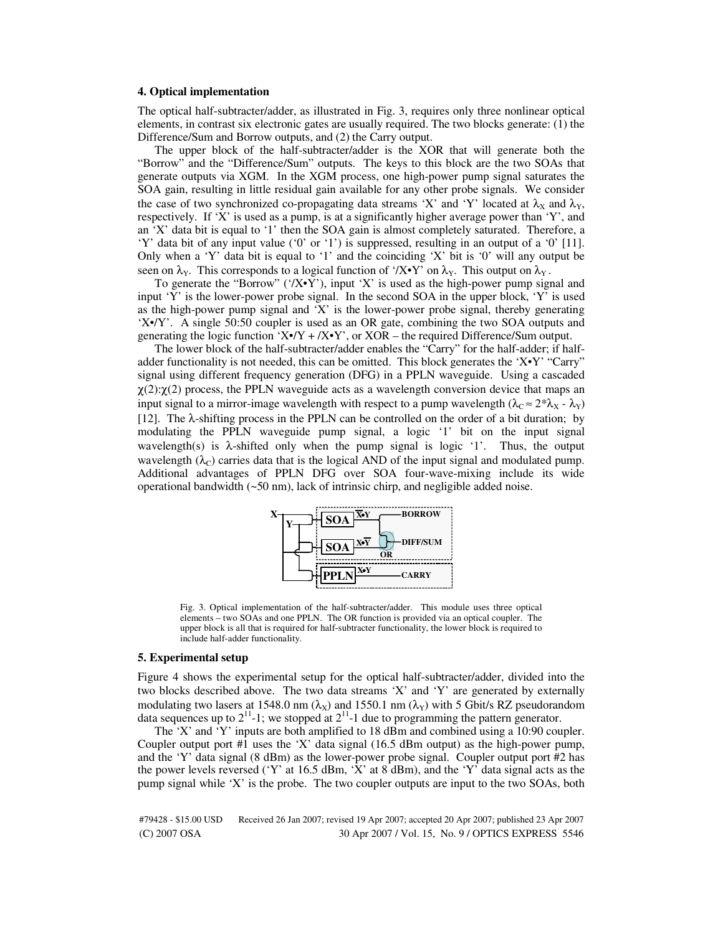### **4. Optical implementation**

The optical half-subtracter/adder, as illustrated in Fig. 3, requires only three nonlinear optical elements, in contrast six electronic gates are usually required. The two blocks generate: (1) the Difference/Sum and Borrow outputs, and (2) the Carry output.

The upper block of the half-subtracter/adder is the XOR that will generate both the "Borrow" and the "Difference/Sum" outputs. The keys to this block are the two SOAs that generate outputs via XGM. In the XGM process, one high-power pump signal saturates the SOA gain, resulting in little residual gain available for any other probe signals. We consider the case of two synchronized co-propagating data streams 'X' and 'Y' located at  $\lambda_X$  and  $\lambda_Y$ , respectively. If 'X' is used as a pump, is at a significantly higher average power than 'Y', and an 'X' data bit is equal to '1' then the SOA gain is almost completely saturated. Therefore, a 'Y' data bit of any input value ('0' or '1') is suppressed, resulting in an output of a '0' [11]. Only when a 'Y' data bit is equal to '1' and the coinciding 'X' bit is '0' will any output be seen on  $\lambda_Y$ . This corresponds to a logical function of '/X•Y' on  $\lambda_Y$ . This output on  $\lambda_Y$ .

To generate the "Borrow" (' $/X^{\bullet}Y$ '), input 'X' is used as the high-power pump signal and input 'Y' is the lower-power probe signal. In the second SOA in the upper block, 'Y' is used as the high-power pump signal and 'X' is the lower-power probe signal, thereby generating 'X•/Y'. A single 50:50 coupler is used as an OR gate, combining the two SOA outputs and generating the logic function 'X•/Y + /X•Y', or XOR – the required Difference/Sum output.

The lower block of the half-subtracter/adder enables the "Carry" for the half-adder; if halfadder functionality is not needed, this can be omitted. This block generates the 'X•Y' "Carry" signal using different frequency generation (DFG) in a PPLN waveguide. Using a cascaded  $\chi(2):\chi(2)$  process, the PPLN waveguide acts as a wavelength conversion device that maps an input signal to a mirror-image wavelength with respect to a pump wavelength  $(\lambda_C \approx 2^*\lambda_X \cdot \lambda_Y)$ [12]. The  $\lambda$ -shifting process in the PPLN can be controlled on the order of a bit duration; by modulating the PPLN waveguide pump signal, a logic '1' bit on the input signal wavelength(s) is λ-shifted only when the pump signal is logic '1'. Thus, the output wavelength ( $\lambda_C$ ) carries data that is the logical AND of the input signal and modulated pump. Additional advantages of PPLN DFG over SOA four-wave-mixing include its wide operational bandwidth (~50 nm), lack of intrinsic chirp, and negligible added noise.



Fig. 3. Optical implementation of the half-subtracter/adder. This module uses three optical elements – two SOAs and one PPLN. The OR function is provided via an optical coupler. The upper block is all that is required for half-subtracter functionality, the lower block is required to include half-adder functionality.

#### **5. Experimental setup**

Figure 4 shows the experimental setup for the optical half-subtracter/adder, divided into the two blocks described above. The two data streams 'X' and 'Y' are generated by externally modulating two lasers at 1548.0 nm ( $\lambda_X$ ) and 1550.1 nm ( $\lambda_Y$ ) with 5 Gbit/s RZ pseudorandom data sequences up to  $2^{11}$ -1; we stopped at  $2^{11}$ -1 due to programming the pattern generator.

The 'X' and 'Y' inputs are both amplified to 18 dBm and combined using a 10:90 coupler. Coupler output port #1 uses the 'X' data signal (16.5 dBm output) as the high-power pump, and the 'Y' data signal (8 dBm) as the lower-power probe signal. Coupler output port #2 has the power levels reversed ('Y' at 16.5 dBm, 'X' at 8 dBm), and the 'Y' data signal acts as the pump signal while 'X' is the probe. The two coupler outputs are input to the two SOAs, both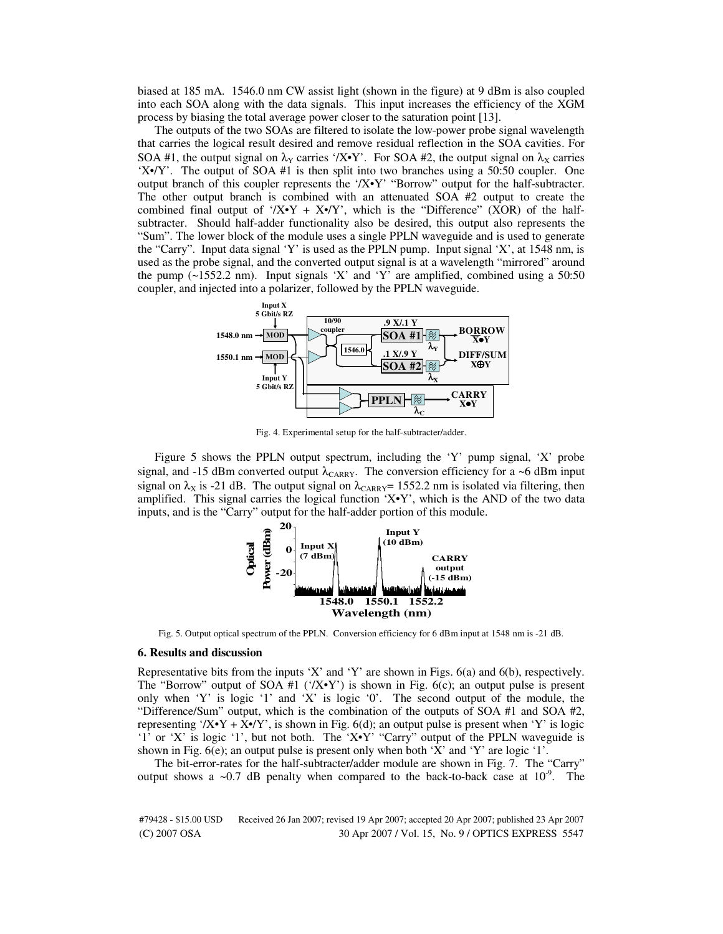biased at 185 mA. 1546.0 nm CW assist light (shown in the figure) at 9 dBm is also coupled into each SOA along with the data signals. This input increases the efficiency of the XGM process by biasing the total average power closer to the saturation point [13].

The outputs of the two SOAs are filtered to isolate the low-power probe signal wavelength that carries the logical result desired and remove residual reflection in the SOA cavities. For SOA #1, the output signal on  $\lambda_Y$  carries '/X•Y'. For SOA #2, the output signal on  $\lambda_X$  carries 'X•/Y'. The output of SOA #1 is then split into two branches using a 50:50 coupler. One output branch of this coupler represents the '/X•Y' "Borrow" output for the half-subtracter. The other output branch is combined with an attenuated SOA #2 output to create the combined final output of '/X•Y + X•/Y', which is the "Difference" (XOR) of the halfsubtracter. Should half-adder functionality also be desired, this output also represents the "Sum". The lower block of the module uses a single PPLN waveguide and is used to generate the "Carry". Input data signal 'Y' is used as the PPLN pump. Input signal 'X', at 1548 nm, is used as the probe signal, and the converted output signal is at a wavelength "mirrored" around the pump  $(\sim 1552.2 \text{ nm})$ . Input signals 'X' and 'Y' are amplified, combined using a 50:50 coupler, and injected into a polarizer, followed by the PPLN waveguide.



Fig. 4. Experimental setup for the half-subtracter/adder.

Figure 5 shows the PPLN output spectrum, including the 'Y' pump signal, 'X' probe signal, and -15 dBm converted output  $\lambda_{CARRY}$ . The conversion efficiency for a ~6 dBm input signal on  $\lambda_X$  is -21 dB. The output signal on  $\lambda_{CARRY}$ = 1552.2 nm is isolated via filtering, then amplified. This signal carries the logical function 'X•Y', which is the AND of the two data inputs, and is the "Carry" output for the half-adder portion of this module.



Fig. 5. Output optical spectrum of the PPLN. Conversion efficiency for 6 dBm input at 1548 nm is -21 dB.

#### **6. Results and discussion**

Representative bits from the inputs 'X' and 'Y' are shown in Figs.  $6(a)$  and  $6(b)$ , respectively. The "Borrow" output of SOA #1 (' $/X \cdot Y$ ) is shown in Fig. 6(c); an output pulse is present only when 'Y' is logic '1' and 'X' is logic '0'. The second output of the module, the "Difference/Sum" output, which is the combination of the outputs of SOA #1 and SOA #2, representing '/X•Y + X•/Y', is shown in Fig. 6(d); an output pulse is present when 'Y' is logic '1' or 'X' is logic '1', but not both. The 'X•Y' "Carry" output of the PPLN waveguide is shown in Fig. 6(e); an output pulse is present only when both 'X' and 'Y' are logic '1'.

The bit-error-rates for the half-subtracter/adder module are shown in Fig. 7. The "Carry" output shows a  $\sim 0.7$  dB penalty when compared to the back-to-back case at  $10^{-9}$ . The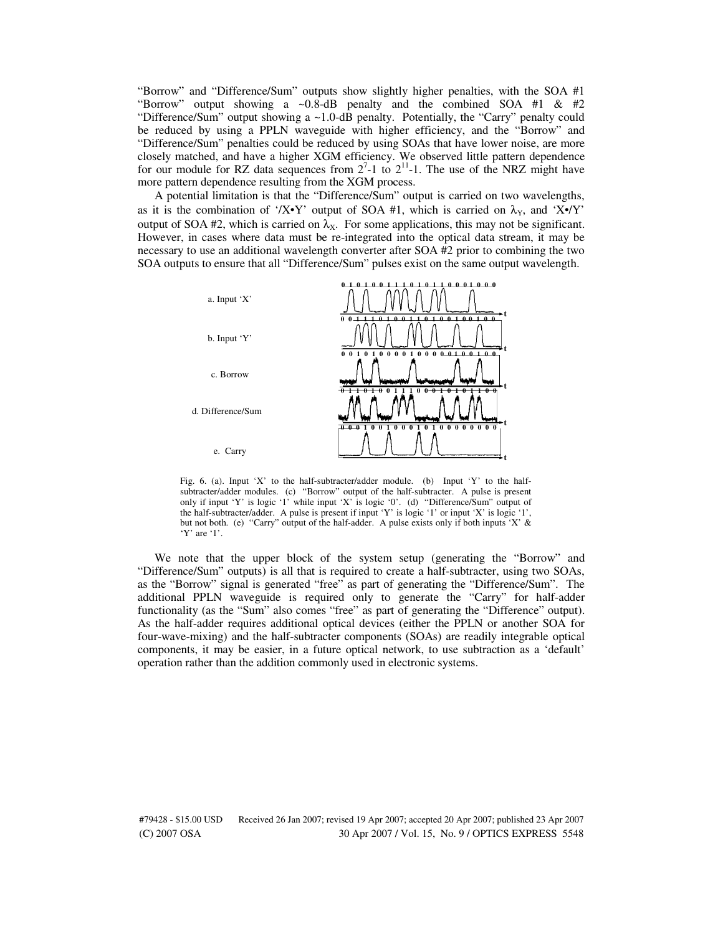"Borrow" and "Difference/Sum" outputs show slightly higher penalties, with the SOA #1 "Borrow" output showing a ~0.8-dB penalty and the combined SOA #1 & #2 "Difference/Sum" output showing a ~1.0-dB penalty. Potentially, the "Carry" penalty could be reduced by using a PPLN waveguide with higher efficiency, and the "Borrow" and "Difference/Sum" penalties could be reduced by using SOAs that have lower noise, are more closely matched, and have a higher XGM efficiency. We observed little pattern dependence for our module for RZ data sequences from  $2^7$ -1 to  $2^{11}$ -1. The use of the NRZ might have more pattern dependence resulting from the XGM process.

A potential limitation is that the "Difference/Sum" output is carried on two wavelengths, as it is the combination of '/X•Y' output of SOA #1, which is carried on  $\lambda_Y$ , and 'X•/Y' output of SOA #2, which is carried on  $\lambda_X$ . For some applications, this may not be significant. However, in cases where data must be re-integrated into the optical data stream, it may be necessary to use an additional wavelength converter after SOA #2 prior to combining the two SOA outputs to ensure that all "Difference/Sum" pulses exist on the same output wavelength.



Fig. 6. (a). Input 'X' to the half-subtracter/adder module. (b) Input 'Y' to the halfsubtracter/adder modules. (c) "Borrow" output of the half-subtracter. A pulse is present only if input 'Y' is logic '1' while input 'X' is logic '0'. (d) "Difference/Sum" output of the half-subtracter/adder. A pulse is present if input 'Y' is logic '1' or input 'X' is logic '1', but not both. (e) "Carry" output of the half-adder. A pulse exists only if both inputs 'X' & 'Y' are '1'.

We note that the upper block of the system setup (generating the "Borrow" and "Difference/Sum" outputs) is all that is required to create a half-subtracter, using two SOAs, as the "Borrow" signal is generated "free" as part of generating the "Difference/Sum". The additional PPLN waveguide is required only to generate the "Carry" for half-adder functionality (as the "Sum" also comes "free" as part of generating the "Difference" output). As the half-adder requires additional optical devices (either the PPLN or another SOA for four-wave-mixing) and the half-subtracter components (SOAs) are readily integrable optical components, it may be easier, in a future optical network, to use subtraction as a 'default' operation rather than the addition commonly used in electronic systems.